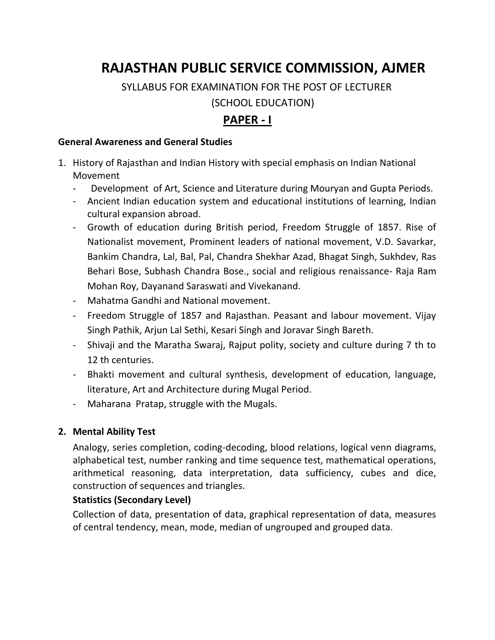# **RAJASTHAN PUBLIC SERVICE COMMISSION, AJMER**

 SYLLABUS FOR EXAMINATION FOR THE POST OF LECTURER (SCHOOL EDUCATION)

# **PAPER - I**

#### **General Awareness and General Studies**

- 1. History of Rajasthan and Indian History with special emphasis on Indian National Movement
	- Development of Art, Science and Literature during Mouryan and Gupta Periods.
	- Ancient Indian education system and educational institutions of learning, Indian cultural expansion abroad.
	- Growth of education during British period, Freedom Struggle of 1857. Rise of Nationalist movement, Prominent leaders of national movement, V.D. Savarkar, Bankim Chandra, Lal, Bal, Pal, Chandra Shekhar Azad, Bhagat Singh, Sukhdev, Ras Behari Bose, Subhash Chandra Bose., social and religious renaissance- Raja Ram Mohan Roy, Dayanand Saraswati and Vivekanand.
	- Mahatma Gandhi and National movement.
	- Freedom Struggle of 1857 and Rajasthan. Peasant and labour movement. Vijay Singh Pathik, Arjun Lal Sethi, Kesari Singh and Joravar Singh Bareth.
	- Shivaji and the Maratha Swaraj, Rajput polity, society and culture during 7 th to 12 th centuries.
	- Bhakti movement and cultural synthesis, development of education, language, literature, Art and Architecture during Mugal Period.
	- Maharana Pratap, struggle with the Mugals.

## **2. Mental Ability Test**

Analogy, series completion, coding-decoding, blood relations, logical venn diagrams, alphabetical test, number ranking and time sequence test, mathematical operations, arithmetical reasoning, data interpretation, data sufficiency, cubes and dice, construction of sequences and triangles.

## **Statistics (Secondary Level)**

Collection of data, presentation of data, graphical representation of data, measures of central tendency, mean, mode, median of ungrouped and grouped data.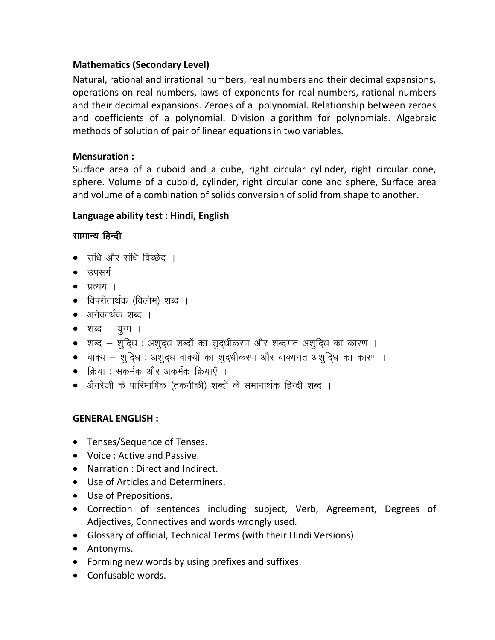## **Mathematics (Secondary Level)**

Natural, rational and irrational numbers, real numbers and their decimal expansions, operations on real numbers, laws of exponents for real numbers, rational numbers and their decimal expansions. Zeroes of a polynomial. Relationship between zeroes and coefficients of a polynomial. Division algorithm for polynomials. Algebraic methods of solution of pair of linear equations in two variables.

## **Mensuration :**

Surface area of a cuboid and a cube, right circular cylinder, right circular cone, sphere. Volume of a cuboid, cylinder, right circular cone and sphere, Surface area and volume of a combination of solids conversion of solid from shape to another.

## **Language ability test : Hindi, English**

## सामान्य हिन्दी

- संधि और संधि विच्छेद ।
- $\bullet$  उपसर्ग ।
- $\bullet$   $\overline{y}$   $\overline{c}$   $\overline{u}$   $\overline{c}$
- विपरीतार्थक (विलोम) शब्द ।
- अनेकार्थक शब्द ।
- शब्द $-$  युग्म ।
- $\bullet$  ) शब्द  $-$  शुदिध : अशुदध शब्दों का शुदधीकरण और शब्दगत अशुदिध का कारण ।
- $\bullet$  वाक्य शुदिध : अशुदध वाक्यों का शुदधीकरण और वाक्यगत अशुदिध का कारण ।
- क्रिया : सकर्मक और अकर्मक क्रियाएँ ।
- ॲंगरेजी के पारिभाषिक (तकनीकी) शब्दों के समानार्थक हिन्दी शब्द ।

## **GENERAL ENGLISH :**

- Tenses/Sequence of Tenses.
- Voice : Active and Passive.
- Narration : Direct and Indirect.
- Use of Articles and Determiners.
- Use of Prepositions.
- Correction of sentences including subject, Verb, Agreement, Degrees of Adjectives, Connectives and words wrongly used.
- Glossary of official, Technical Terms (with their Hindi Versions).
- Antonyms.
- Forming new words by using prefixes and suffixes.
- Confusable words.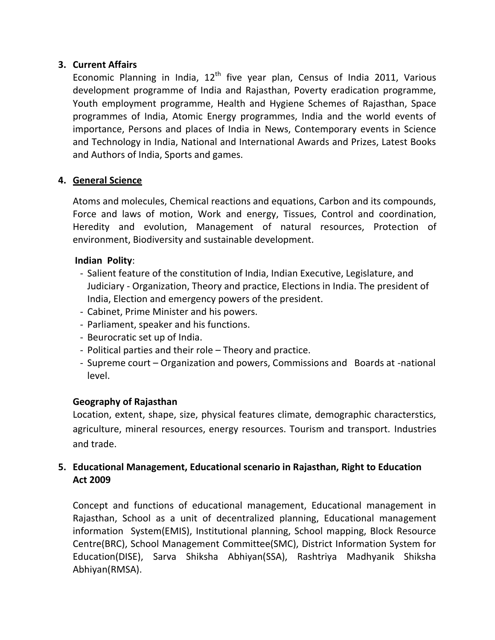## **3. Current Affairs**

Economic Planning in India, 12<sup>th</sup> five year plan, Census of India 2011, Various development programme of India and Rajasthan, Poverty eradication programme, Youth employment programme, Health and Hygiene Schemes of Rajasthan, Space programmes of India, Atomic Energy programmes, India and the world events of importance, Persons and places of India in News, Contemporary events in Science and Technology in India, National and International Awards and Prizes, Latest Books and Authors of India, Sports and games.

## **4. General Science**

Atoms and molecules, Chemical reactions and equations, Carbon and its compounds, Force and laws of motion, Work and energy, Tissues, Control and coordination, Heredity and evolution, Management of natural resources, Protection of environment, Biodiversity and sustainable development.

#### **Indian Polity**:

- Salient feature of the constitution of India, Indian Executive, Legislature, and Judiciary - Organization, Theory and practice, Elections in India. The president of India, Election and emergency powers of the president.
- Cabinet, Prime Minister and his powers.
- Parliament, speaker and his functions.
- Beurocratic set up of India.
- Political parties and their role Theory and practice.
- Supreme court Organization and powers, Commissions and Boards at -national level.

## **Geography of Rajasthan**

Location, extent, shape, size, physical features climate, demographic characterstics, agriculture, mineral resources, energy resources. Tourism and transport. Industries and trade.

## **5. Educational Management, Educational scenario in Rajasthan, Right to Education Act 2009**

Concept and functions of educational management, Educational management in Rajasthan, School as a unit of decentralized planning, Educational management information System(EMIS), Institutional planning, School mapping, Block Resource Centre(BRC), School Management Committee(SMC), District Information System for Education(DISE), Sarva Shiksha Abhiyan(SSA), Rashtriya Madhyanik Shiksha Abhiyan(RMSA).